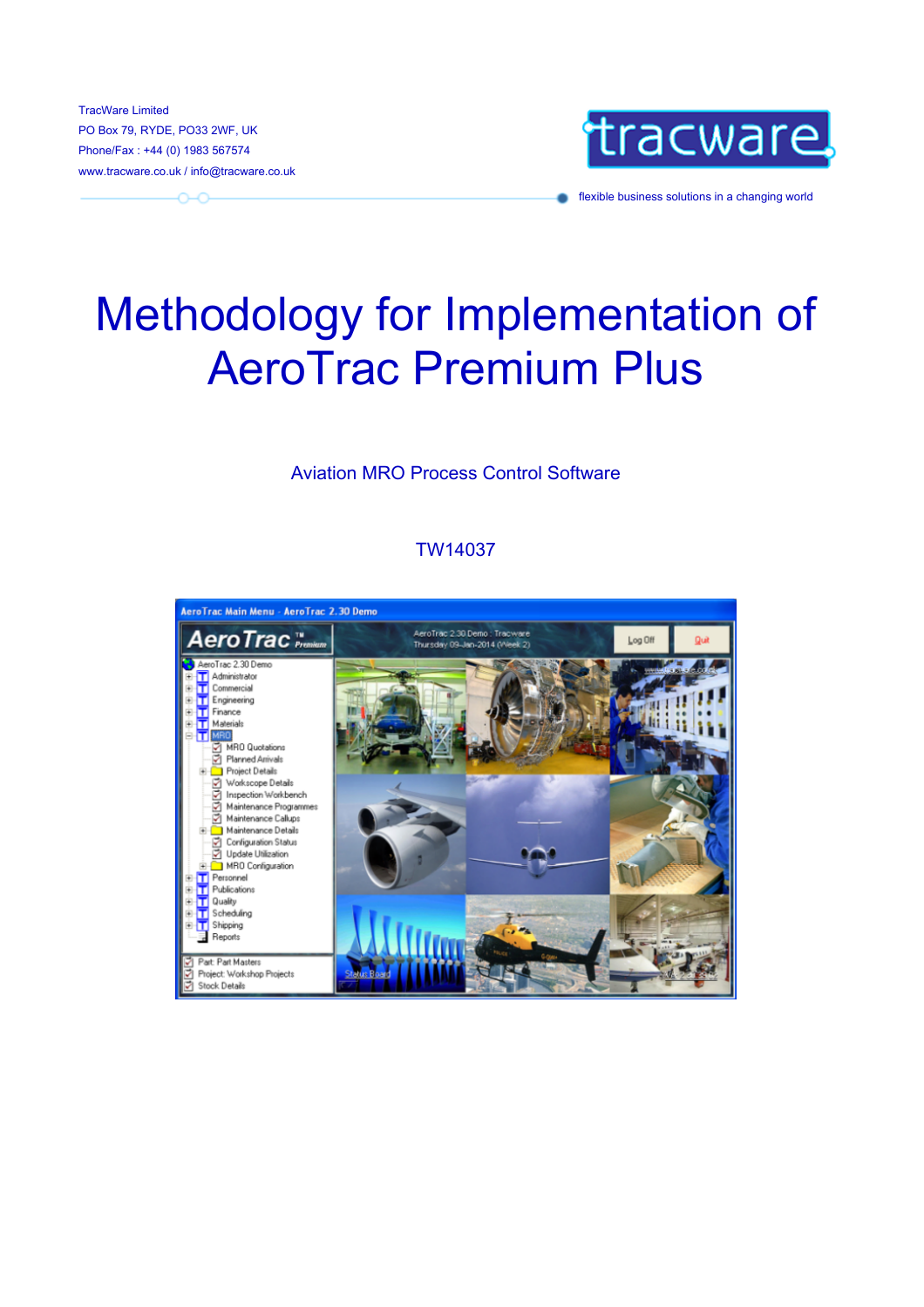TracWare Limited Phone/Fax : +44 (0) 1983 567574 www.tracware.co.uk / info@tracware.co.uk

 $\sim$ 



flexible business solutions in a changing world

# Methodology for Implementation of AeroTrac Premium Plus

#### Aviation MRO Process Control Software

#### TW14037

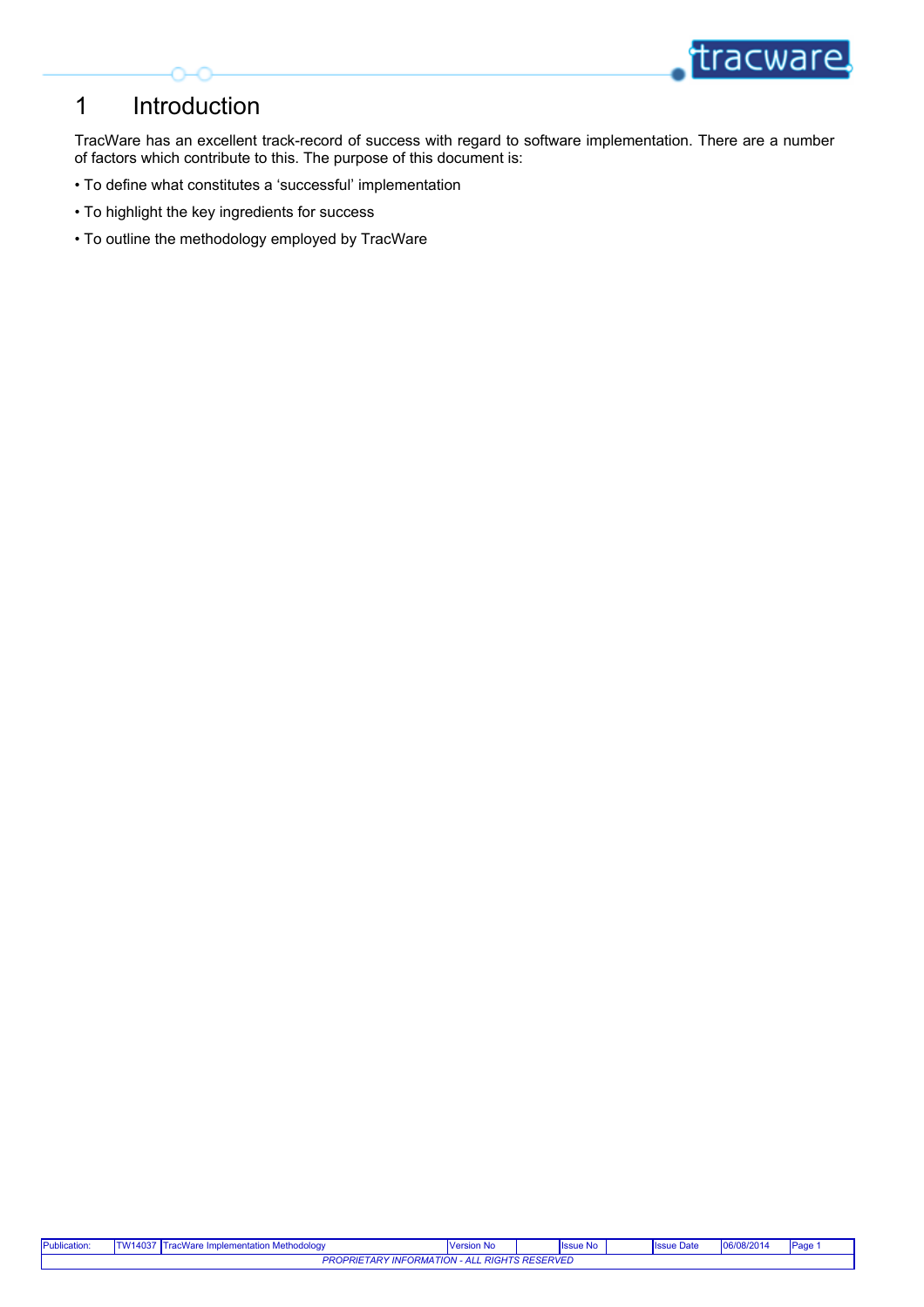

#### 1 Introduction

TracWare has an excellent track-record of success with regard to software implementation. There are a number of factors which contribute to this. The purpose of this document is:

- To define what constitutes a 'successful' implementation
- To highlight the key ingredients for success
- To outline the methodology employed by TracWare

| <b>Publication:</b> | $\cdot$ M14037 T <sup>-</sup>                                                    | acWare<br>a Implementation Methodology | Version No |  | <b>Issue No</b> |  | <b>Issue Date</b> | 0.004<br>06/0<br>J8/2014 | в. |
|---------------------|----------------------------------------------------------------------------------|----------------------------------------|------------|--|-----------------|--|-------------------|--------------------------|----|
|                     | <b>ALL RIGHTS RESERVED</b><br><b>TARY INFORMATION - ALL</b><br>PROPRIE".<br>- '' |                                        |            |  |                 |  |                   |                          |    |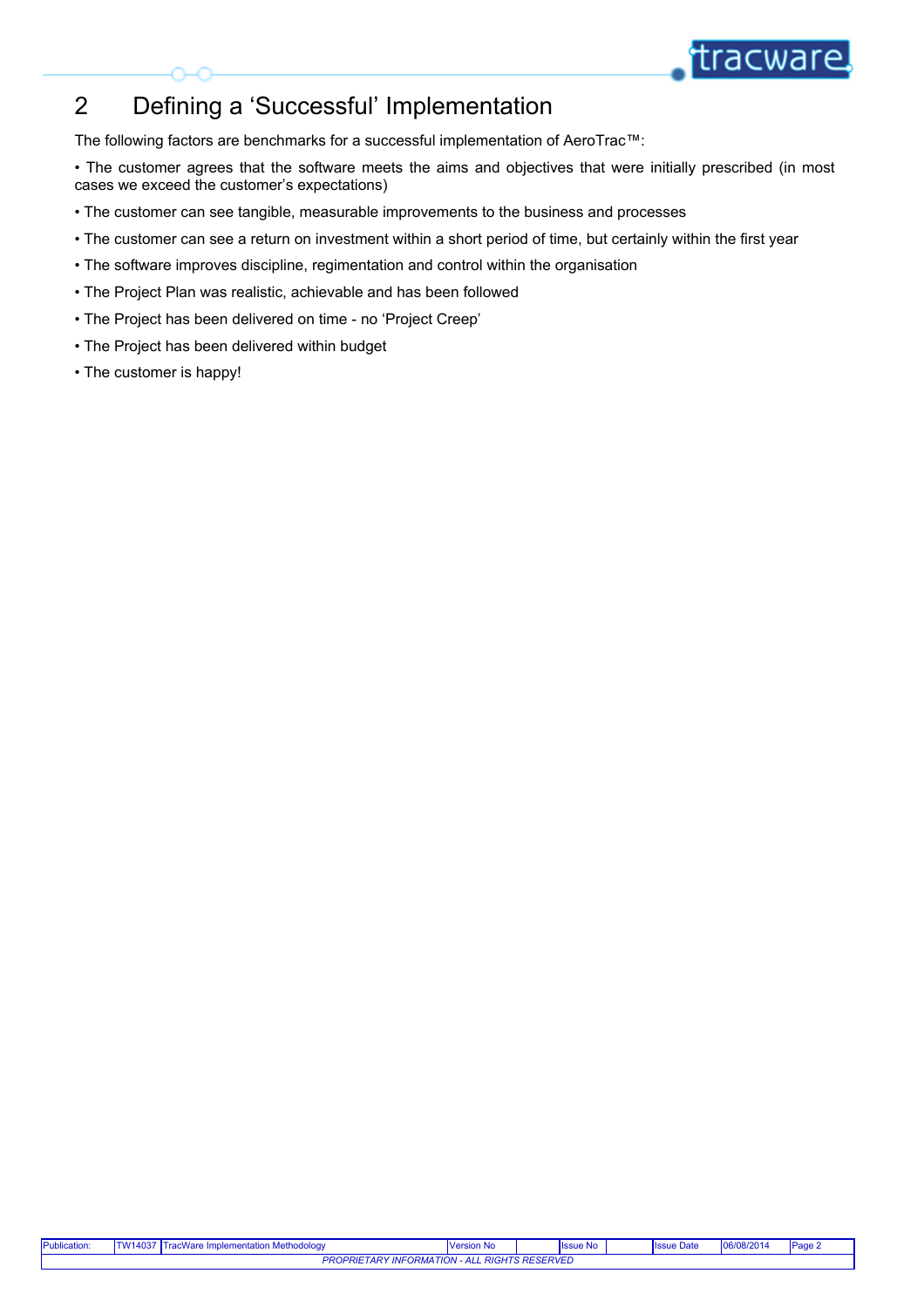

# 2 Defining a 'Successful' Implementation

The following factors are benchmarks for a successful implementation of AeroTrac™:

• The customer agrees that the software meets the aims and objectives that were initially prescribed (in most<br>• The customer agrees that the software meets the aims and objectives that were initially prescribed (in most<br>• cases we exceed the customer's expectations)

- The customer can see tangible, measurable improvements to the business and processes
- The customer can see a return on investment within a short period of time, but certainly within the first year
- The software improves discipline, regimentation and control within the organisation
- The Project Plan was realistic, achievable and has been followed
- The Project has been delivered on time no 'Project Creep'
- The Project has been delivered within budget
- The customer is happy!

| Publication: | − 1 W14037 ا                                                                                         | .<br>racWare Implementation Methodology | <b>Version No</b> |  | <b>Ilssue No</b> |  | $\mathbf{1}$<br><b>IISS</b><br>⊧ ∪ате | 06/08/2014<br>106/m <sub>o</sub> | <b>IPag</b> |
|--------------|------------------------------------------------------------------------------------------------------|-----------------------------------------|-------------------|--|------------------|--|---------------------------------------|----------------------------------|-------------|
|              | <b>RIGHTS RESERVED</b><br><b>PROPRIE.</b><br><b>TIME</b><br>- 4<br>∽๙<br>'∪rww<br><i><b>IIVI</b></i> |                                         |                   |  |                  |  |                                       |                                  |             |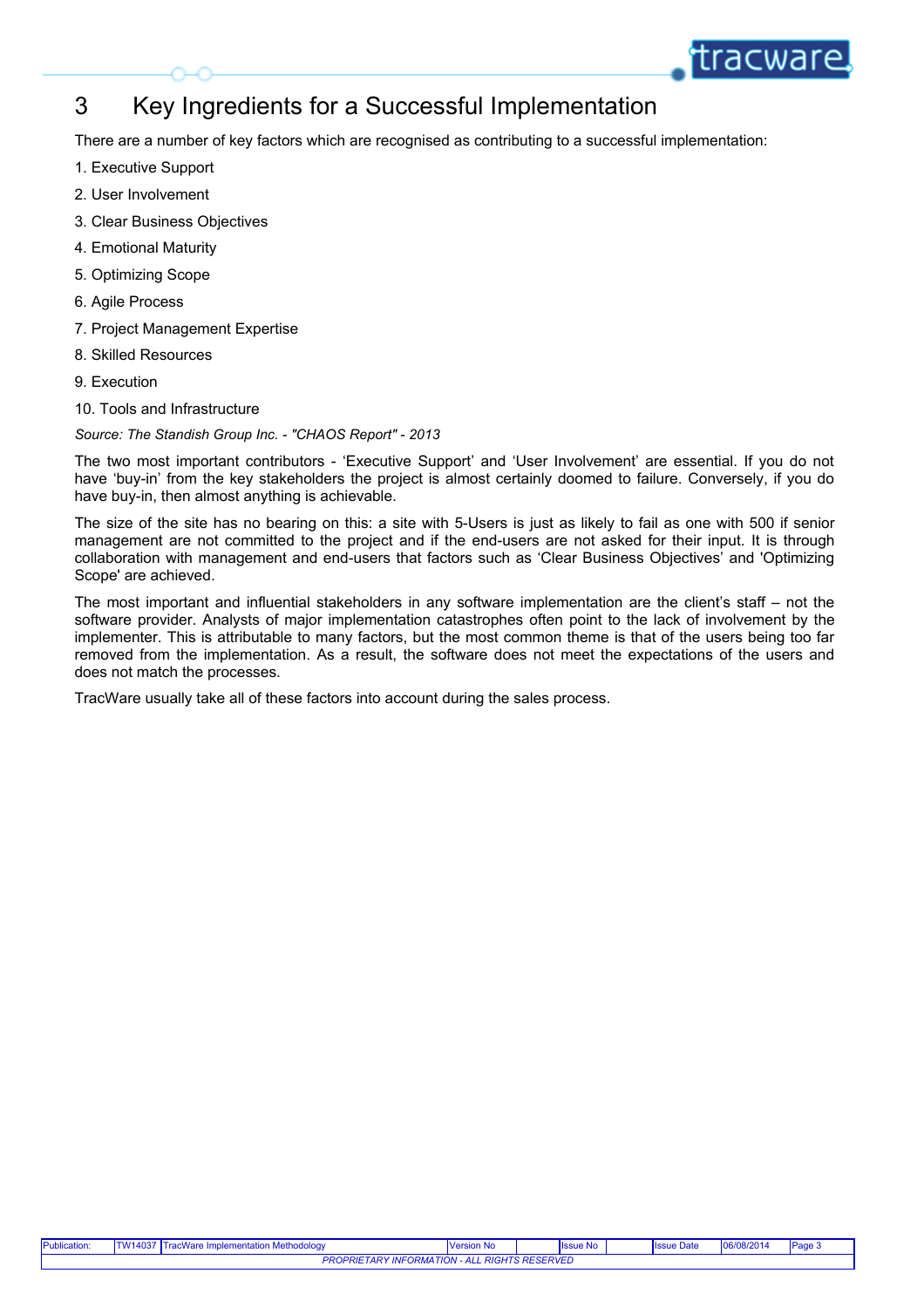# 3 Key Ingredients for a Successful Implementation

There are a number of key factors which are recognised as contributing to a successful implementation:

- 1. Executive Support
- 2. User Involvement
- 3. Clear Business Objectives
- 4. Emotional Maturity
- 5. Optimizing Scope
- 6. Agile Process
- 7. Project Management Expertise
- 8. Skilled Resources
- 9. Execution
- 10. Tools and Infrastructure

*Source: The Standish Group Inc. - "CHAOS Report" - 2013*

have 'buy-in' from the key stakeholders the project is almost certainly doomed to failure. Conversely, if you do have buy-in, then almost anything is achievable.

THE TRACT THE TRACT THE TRACT THE TRACT THE TRACT THE TRACT THE TRACT THE TRACT THE TRACT THE TRACT USER THE TRACT USER IN THE TRACT THE TRACT USER IN THE TRACT THE TRACT USER IN THE TRACT THE TRACT THE TRACT THE TRACT THE The size of the site has no bearing on this: a site with 5-Users is just as likely to fail as one with 500 if senior collaboration with management and end-users that factors such as 'Clear Business Objectives' and 'Optimizing Scope' are achieved.

**Many Ingredients for a Successful Implementation**<br>There are a number of key factors which are recognised as contributing to a successful implementation:<br>
1. Executive Support<br>
2. User huvelvement<br>
4. Emotional Maturity<br>
4 The most importants for a Successful Implementation<br>There are a number of key factors which are recognised as contributing to a successful implementation:<br>
1. Executive Support<br>
2. User Involvement<br>
3. Clear Business Objec software provider. Analysts of major implementation catastrophes often point to the lack of involvement by the implementer. This is attributable to many factors, but the most common theme is that of the users being too far There are a number of key tachors which are recognised as contributing to a successful implementation.<br>1. Executive Support<br>2. User Novelvement<br>4. Emple Monement<br>4. Emple Monamgement Expertise<br>5. Optimizing Scope<br>5. Assume does not match the processes.

TracWare usually take all of these factors into account during the sales process.

| Publication:                                                                                     | /14037<br>nplementation Methodology<br>., v v di t | <b>Version No</b> |  | <b>Issue No</b> |  | <b>Issue Date</b> | $'$ 06/08/2014<br>— 106/ы. | Pag |
|--------------------------------------------------------------------------------------------------|----------------------------------------------------|-------------------|--|-----------------|--|-------------------|----------------------------|-----|
| <b>RIGHTS RESERVED</b><br><b>PROPRIE</b><br>$\cdots$<br>- 4<br>∽๙<br>'∪rww<br><i><b>IIVI</b></i> |                                                    |                   |  |                 |  |                   |                            |     |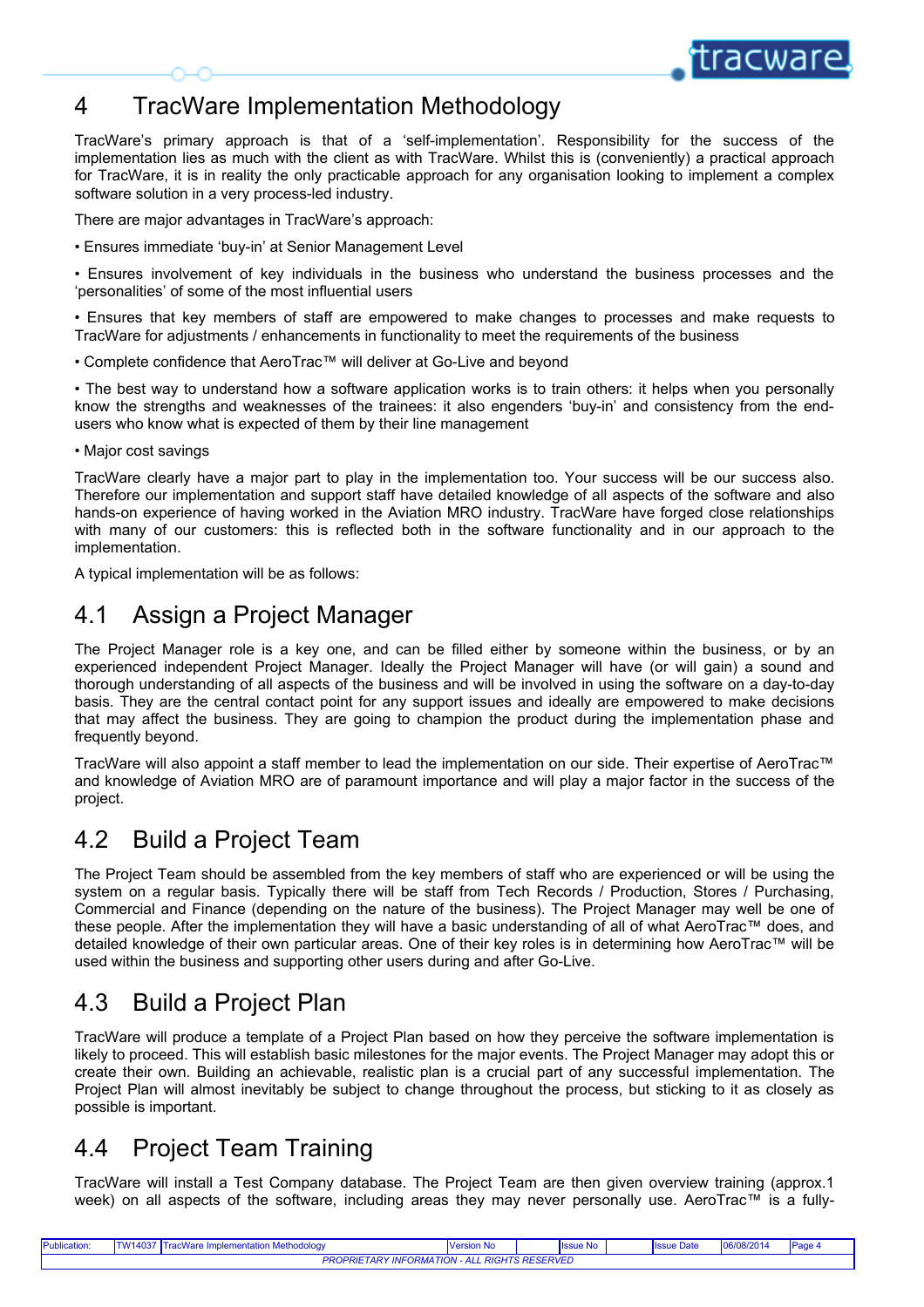## 4 TracWare Implementation Methodology

TracWare's primary approach is that of a 'self-implementation'. Responsibility for the success of the implementation lies as much with the client as with TracWare. Whilst this is (conveniently) a practical approach for Tra implementation lies as much with the client as with TracWare. Whilst this is (conveniently) a practical approach for TracWare, it is in reality the only practicable approach for any organisation looking to implement a complex software solution in a very process-led industry. FracWare Implementation Methodology<br>
FracWare's primary approach is that of a 'self-implementation'. Responsibility for the success of the<br>
implementation lies as much with the dislet as with TracWare. Whilst this is (conv FracWare's primary approach is that of a "self-implementation". Responsibility for the success of the implementation lies as much with the client as with TracWare's it is in reality the only practical approach for any org **know the strengths and weaknesses of the trainees:** it also engenders buying members and also with maximized the strengths are trained weak no strengths and weakness of the tracheter for tracheters is the in result the e

There are major advantages in TracWare's approach:

• Ensures immediate 'buy-in' at Senior Management Level

'personalities' of some of the most influential users

TracWare for adjustments / enhancements in functionality to meet the requirements of the business

• Complete confidence that AeroTrac™ will deliver at Go-Live and beyond

• The best way to understand how a software application works is to train others: it helps when you personally users who know what is expected of them by their line management

• Major cost savings

TracWare Implementation Methodology<br>
TracWares primary approach is that of a "self-implementation". Responsibility for the success of the<br>
implementation lies as much with the clearly fract/vare. Whilst this is conventionl Therefore our implementation and support staff have detailed knowledge of all aspects of the software and also hands-on experience of having worked in the Aviation MRO industry. TracWare have forged close relationships **TractWare Implementation Methodology**<br> **TractAre's pluny approach is that of a self-implementation**. Responsibility for the success of the<br>
dimplementation less as much with the client as with TracWare. Whilst this is con implementation.

A typical implementation will be as follows:

#### 4.1 Assign a Project Manager

TracWare clear that the state of a "settimplementation". Responsiblely for the success of the Chinamiston in a "settimplementation" is a more that in a settimplementation is a smuch with the client as with TracWare. Whilst implementation last way to understand the cell as with the client as within trackivene. Whilst his is (conveniently) a practical approach<br>Software solution in a very processed industry.<br>There are major advantages in TrackW thorough understanding of all aspects of the business and will be involved in using the software on a day-to-day basis. They are the central contact point for any support issues and ideally are empowered to make decisions The care major advantages in TracMare's approach:<br>
Finsures immediate buy-in at Seritor Management Level<br>
Finsures immediate buy-in at Seritor Management Level<br>
Finsures involvement of key includival is the business who un frequently beyond. • The best way to understand how a software application works is to train others; it helps when you personally<br>know the strengths and weaknesses of the trainess: it also engenders buy-in' and consistency from the end-<br>user A sylecal implementation will be as follows:<br>
4.1 ASSign a Project Manager in the alterate the alterate they someone within the business, or by an<br>
The Project Manager role is a key one, and can be filled either by someone

TracWare will also appoint a staff member to lead the implementation on our side. Their expertise of AeroTrac™ and knowledge of Aviation MRO are of paramount importance and will play a major factor in the success of the project.

#### 4.2 Build a Project Team

The Project Team should be assembled from the key members of staff who are experienced or will be using the Commercial and Finance (depending on the nature of the business). The Project Manager may well be one of these people. After the implementation they will have a basic understanding of all of what AeroTrac™ does, and detailed knowledge of their own particular areas. One of their key roles is in determining how AeroTrac™ will be used within the business and supporting other users during and after Go-Live. throwable the central conditions a seperation or equilibration in the involved in using the somewhere of a streament of the business. They are the central contact point for any support issues and dealty are empowered to ma

#### 4.3 Build a Project Plan

TracWare will produce a template of a Project Plan based on how they perceive the software implementation is likely to proceed. This will establish basic milestones for the major events. The Project Manager may adopt this or Project Plan will almost inevitably be subject to change throughout the process, but sticking to it as closely as possible is important.

### 4.4 Project Team Training

TracWare will install a Test Company database. The Project Team are then given overview training (approx.1

| Publication:                                         | TW14037 | Tracy<br>cWare Implementation Methodology | <b>Version No</b> |  | <b>Issue No</b> |  | <b>Ilssue Date</b> | 06/08/2014 | Page |  |  |
|------------------------------------------------------|---------|-------------------------------------------|-------------------|--|-----------------|--|--------------------|------------|------|--|--|
| <b>PROPRIETARY INFORMATION - ALL RIGHTS RESERVED</b> |         |                                           |                   |  |                 |  |                    |            |      |  |  |